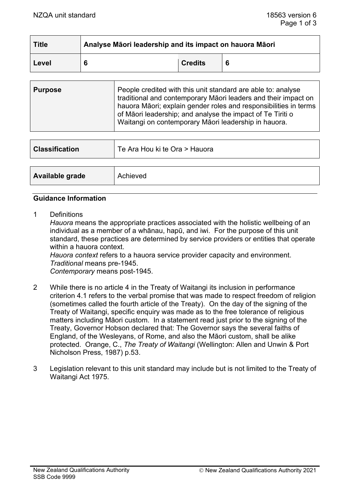| <b>Title</b> | Analyse Māori leadership and its impact on hauora Māori |                |  |
|--------------|---------------------------------------------------------|----------------|--|
| Level        | 6                                                       | <b>Credits</b> |  |

| <b>Purpose</b> | People credited with this unit standard are able to: analyse<br>traditional and contemporary Māori leaders and their impact on<br>hauora Māori; explain gender roles and responsibilities in terms<br>of Māori leadership; and analyse the impact of Te Tiriti o<br>Waitangi on contemporary Māori leadership in hauora. |
|----------------|--------------------------------------------------------------------------------------------------------------------------------------------------------------------------------------------------------------------------------------------------------------------------------------------------------------------------|
|                |                                                                                                                                                                                                                                                                                                                          |

| <b>Classification</b> | Te Ara Hou ki te Ora > Hauora |
|-----------------------|-------------------------------|
|                       |                               |
| Available grade       | Achieved                      |

# **Guidance Information**

1 Definitions

*Hauora* means the appropriate practices associated with the holistic wellbeing of an individual as a member of a whānau, hapū, and iwi. For the purpose of this unit standard, these practices are determined by service providers or entities that operate within a hauora context.

*Hauora context* refers to a hauora service provider capacity and environment. *Traditional* means pre-1945.

*Contemporary* means post-1945.

- 2 While there is no article 4 in the Treaty of Waitangi its inclusion in performance criterion 4.1 refers to the verbal promise that was made to respect freedom of religion (sometimes called the fourth article of the Treaty). On the day of the signing of the Treaty of Waitangi, specific enquiry was made as to the free tolerance of religious matters including Māori custom. In a statement read just prior to the signing of the Treaty, Governor Hobson declared that: The Governor says the several faiths of England, of the Wesleyans, of Rome, and also the Māori custom, shall be alike protected. Orange, C., *The Treaty of Waitangi* (Wellington: Allen and Unwin & Port Nicholson Press, 1987) p.53.
- 3 Legislation relevant to this unit standard may include but is not limited to the Treaty of Waitangi Act 1975.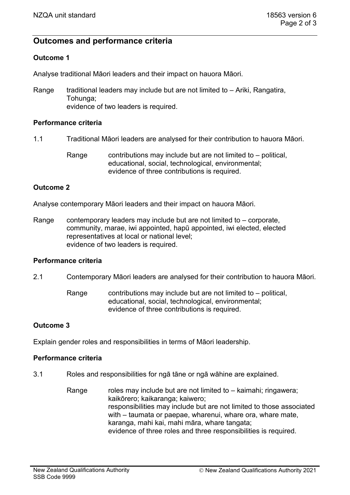# **Outcomes and performance criteria**

# **Outcome 1**

Analyse traditional Māori leaders and their impact on hauora Māori.

Range  $t$  traditional leaders may include but are not limited to  $-$  Ariki, Rangatira, Tohunga; evidence of two leaders is required.

#### **Performance criteria**

- 1.1 Traditional Māori leaders are analysed for their contribution to hauora Māori.
	- Range contributions may include but are not limited to  $-$  political, educational, social, technological, environmental; evidence of three contributions is required.

## **Outcome 2**

Analyse contemporary Māori leaders and their impact on hauora Māori.

Range contemporary leaders may include but are not limited to  $-$  corporate, community, marae, iwi appointed, hapū appointed, iwi elected, elected representatives at local or national level; evidence of two leaders is required.

# **Performance criteria**

2.1 Contemporary Māori leaders are analysed for their contribution to hauora Māori.

Range contributions may include but are not limited to  $-$  political, educational, social, technological, environmental; evidence of three contributions is required.

## **Outcome 3**

Explain gender roles and responsibilities in terms of Māori leadership.

#### **Performance criteria**

3.1 Roles and responsibilities for ngā tāne or ngā wāhine are explained.

Range roles may include but are not limited to – kaimahi; ringawera; kaikōrero; kaikaranga; kaiwero; responsibilities may include but are not limited to those associated with – taumata or paepae, wharenui, whare ora, whare mate, karanga, mahi kai, mahi māra, whare tangata; evidence of three roles and three responsibilities is required.